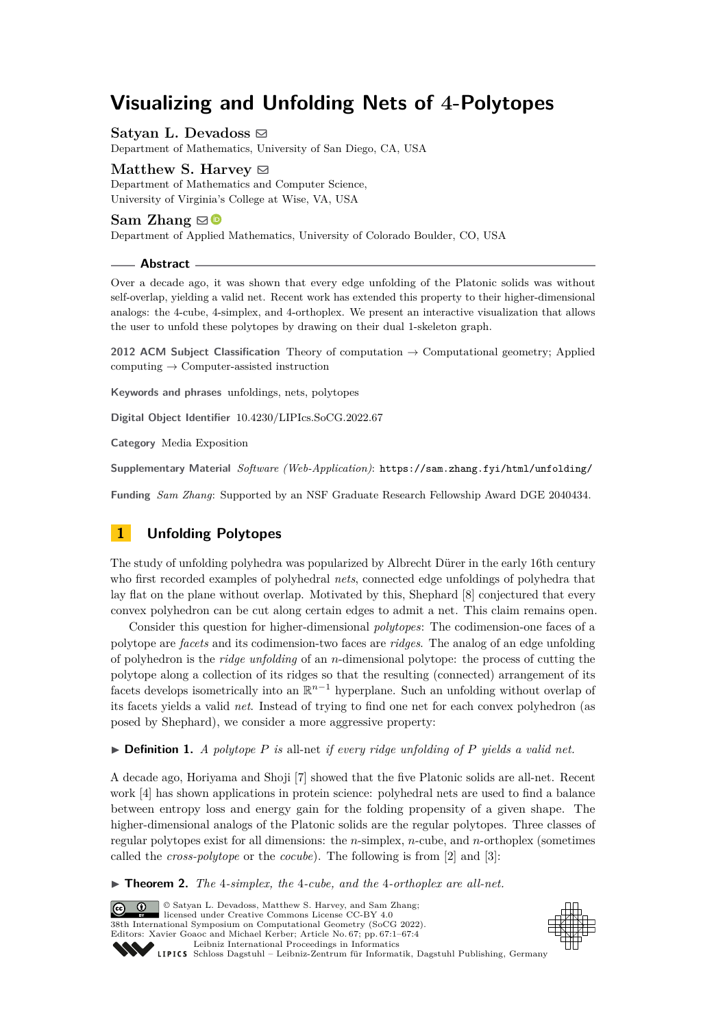# **Visualizing and Unfolding Nets of 4-Polytopes**

Satyan L. Devadoss  $\boxdot$ Department of Mathematics, University of San Diego, CA, USA

Matthew S. Harvey  $\boxtimes$ Department of Mathematics and Computer Science, University of Virginia's College at Wise, VA, USA

### **Sam Zhang**  $\boxtimes$

Department of Applied Mathematics, University of Colorado Boulder, CO, USA

**Abstract**

Over a decade ago, it was shown that every edge unfolding of the Platonic solids was without self-overlap, yielding a valid net. Recent work has extended this property to their higher-dimensional analogs: the 4-cube, 4-simplex, and 4-orthoplex. We present an interactive visualization that allows the user to unfold these polytopes by drawing on their dual 1-skeleton graph.

**2012 ACM Subject Classification** Theory of computation → Computational geometry; Applied  $computing \rightarrow Computer-assisted instruction$ 

**Keywords and phrases** unfoldings, nets, polytopes

**Digital Object Identifier** [10.4230/LIPIcs.SoCG.2022.67](https://doi.org/10.4230/LIPIcs.SoCG.2022.67)

**Category** Media Exposition

**Supplementary Material** *Software (Web-Application)*: <https://sam.zhang.fyi/html/unfolding/>

**Funding** *Sam Zhang*: Supported by an NSF Graduate Research Fellowship Award DGE 2040434.

# **1 Unfolding Polytopes**

The study of unfolding polyhedra was popularized by Albrecht Dürer in the early 16th century who first recorded examples of polyhedral *nets*, connected edge unfoldings of polyhedra that lay flat on the plane without overlap. Motivated by this, Shephard [\[8\]](#page-3-0) conjectured that every convex polyhedron can be cut along certain edges to admit a net. This claim remains open.

Consider this question for higher-dimensional *polytopes*: The codimension-one faces of a polytope are *facets* and its codimension-two faces are *ridges*. The analog of an edge unfolding of polyhedron is the *ridge unfolding* of an *n*-dimensional polytope: the process of cutting the polytope along a collection of its ridges so that the resulting (connected) arrangement of its facets develops isometrically into an  $\mathbb{R}^{n-1}$  hyperplane. Such an unfolding without overlap of its facets yields a valid *net*. Instead of trying to find one net for each convex polyhedron (as posed by Shephard), we consider a more aggressive property:

 $\triangleright$  **Definition 1.** *A polytope P is* all-net *if every ridge unfolding of P yields a valid net.* 

A decade ago, Horiyama and Shoji [\[7\]](#page-3-1) showed that the five Platonic solids are all-net. Recent work [\[4\]](#page-3-2) has shown applications in protein science: polyhedral nets are used to find a balance between entropy loss and energy gain for the folding propensity of a given shape. The higher-dimensional analogs of the Platonic solids are the regular polytopes. Three classes of regular polytopes exist for all dimensions: the *n*-simplex, *n*-cube, and *n*-orthoplex (sometimes called the *cross-polytope* or the *cocube*). The following is from [\[2\]](#page-3-3) and [\[3\]](#page-3-4):

<span id="page-0-0"></span>▶ **Theorem 2.** *The* 4*-simplex, the* 4*-cube, and the* 4*-orthoplex are all-net.*

© Satyan L. Devadoss, Matthew S. Harvey, and Sam Zhang;  $\boxed{6}$  0 licensed under Creative Commons License CC-BY 4.0 38th International Symposium on Computational Geometry (SoCG 2022). Editors: Xavier Goaoc and Michael Kerber; Article No. 67; pp. 67:1–67:4 [Leibniz International Proceedings in Informatics](https://www.dagstuhl.de/lipics/) Leibniz international Froceedings in missimosischer Magstuhl Publishing, Germany<br>LIPICS [Schloss Dagstuhl – Leibniz-Zentrum für Informatik, Dagstuhl Publishing, Germany](https://www.dagstuhl.de)

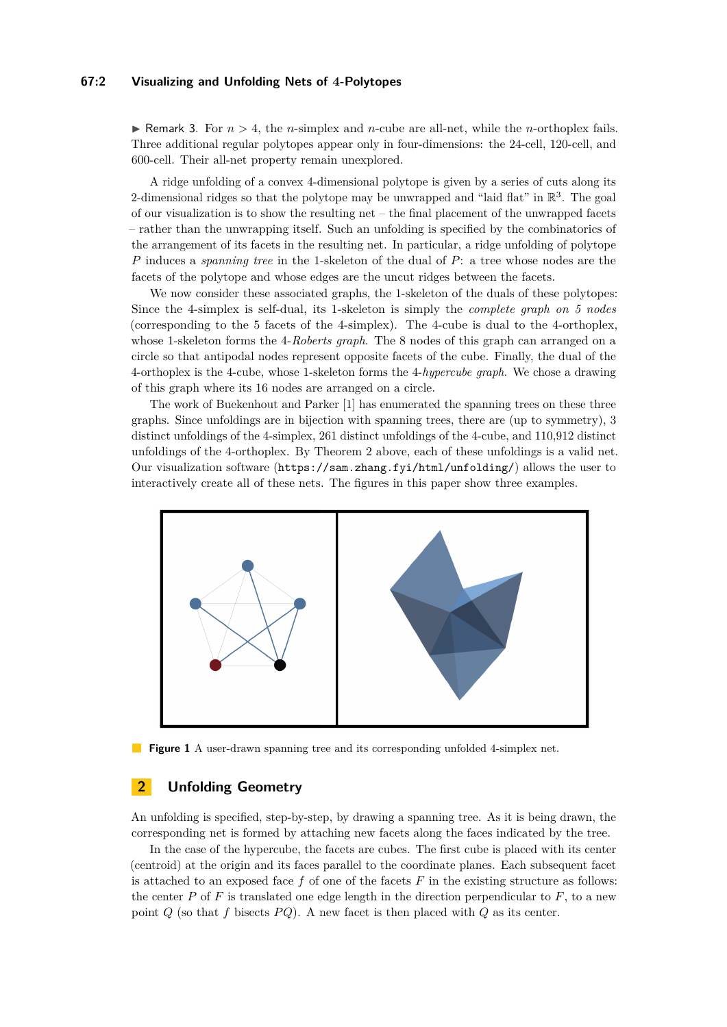### **67:2 Visualizing and Unfolding Nets of 4-Polytopes**

 $\triangleright$  Remark 3. For  $n > 4$ , the *n*-simplex and *n*-cube are all-net, while the *n*-orthoplex fails. Three additional regular polytopes appear only in four-dimensions: the 24-cell, 120-cell, and 600-cell. Their all-net property remain unexplored.

A ridge unfolding of a convex 4-dimensional polytope is given by a series of cuts along its 2-dimensional ridges so that the polytope may be unwrapped and "laid flat" in  $\mathbb{R}^3$ . The goal of our visualization is to show the resulting net – the final placement of the unwrapped facets – rather than the unwrapping itself. Such an unfolding is specified by the combinatorics of the arrangement of its facets in the resulting net. In particular, a ridge unfolding of polytope *P* induces a *spanning tree* in the 1-skeleton of the dual of *P*: a tree whose nodes are the facets of the polytope and whose edges are the uncut ridges between the facets.

We now consider these associated graphs, the 1-skeleton of the duals of these polytopes: Since the 4-simplex is self-dual, its 1-skeleton is simply the *complete graph on 5 nodes* (corresponding to the 5 facets of the 4-simplex). The 4-cube is dual to the 4-orthoplex, whose 1-skeleton forms the 4-*Roberts graph*. The 8 nodes of this graph can arranged on a circle so that antipodal nodes represent opposite facets of the cube. Finally, the dual of the 4-orthoplex is the 4-cube, whose 1-skeleton forms the 4-*hypercube graph*. We chose a drawing of this graph where its 16 nodes are arranged on a circle.

The work of Buekenhout and Parker [\[1\]](#page-3-5) has enumerated the spanning trees on these three graphs. Since unfoldings are in bijection with spanning trees, there are (up to symmetry), 3 distinct unfoldings of the 4-simplex, 261 distinct unfoldings of the 4-cube, and 110,912 distinct unfoldings of the 4-orthoplex. By Theorem [2](#page-0-0) above, each of these unfoldings is a valid net. Our visualization software (<https://sam.zhang.fyi/html/unfolding/>) allows the user to interactively create all of these nets. The figures in this paper show three examples.



**Figure 1** A user-drawn spanning tree and its corresponding unfolded 4-simplex net.

# **2 Unfolding Geometry**

An unfolding is specified, step-by-step, by drawing a spanning tree. As it is being drawn, the corresponding net is formed by attaching new facets along the faces indicated by the tree.

In the case of the hypercube, the facets are cubes. The first cube is placed with its center (centroid) at the origin and its faces parallel to the coordinate planes. Each subsequent facet is attached to an exposed face  $f$  of one of the facets  $F$  in the existing structure as follows: the center  $P$  of  $F$  is translated one edge length in the direction perpendicular to  $F$ , to a new point  $Q$  (so that  $f$  bisects  $PQ$ ). A new facet is then placed with  $Q$  as its center.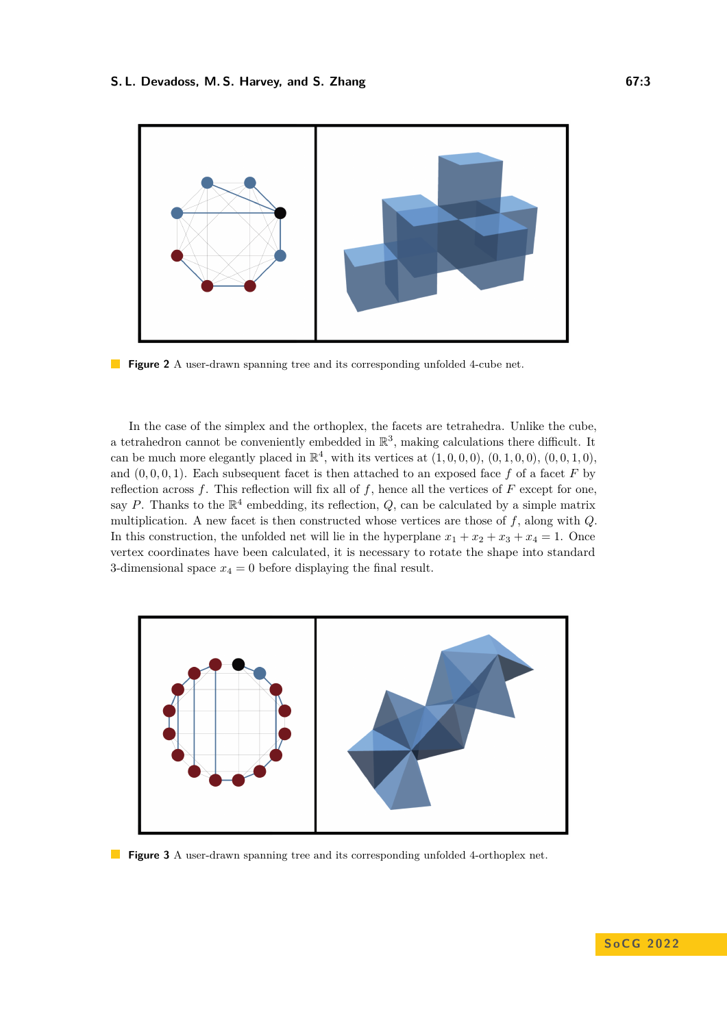

**Figure 2** A user-drawn spanning tree and its corresponding unfolded 4-cube net.

In the case of the simplex and the orthoplex, the facets are tetrahedra. Unlike the cube, a tetrahedron cannot be conveniently embedded in  $\mathbb{R}^3$ , making calculations there difficult. It can be much more elegantly placed in  $\mathbb{R}^4$ , with its vertices at  $(1,0,0,0)$ ,  $(0,1,0,0)$ ,  $(0,0,1,0)$ , and  $(0, 0, 0, 1)$ . Each subsequent facet is then attached to an exposed face  $f$  of a facet  $F$  by reflection across *f*. This reflection will fix all of *f*, hence all the vertices of *F* except for one, say P. Thanks to the  $\mathbb{R}^4$  embedding, its reflection,  $Q$ , can be calculated by a simple matrix multiplication. A new facet is then constructed whose vertices are those of *f*, along with *Q*. In this construction, the unfolded net will lie in the hyperplane  $x_1 + x_2 + x_3 + x_4 = 1$ . Once vertex coordinates have been calculated, it is necessary to rotate the shape into standard 3-dimensional space  $x_4 = 0$  before displaying the final result.



**Figure 3** A user-drawn spanning tree and its corresponding unfolded 4-orthoplex net.